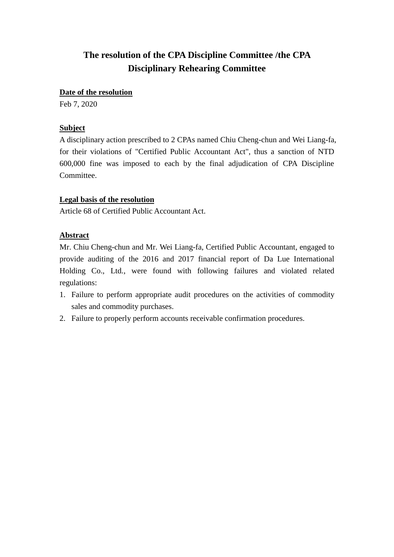#### **Date of the resolution**

Feb 7, 2020

## **Subject**

A disciplinary action prescribed to 2 CPAs named Chiu Cheng-chun and Wei Liang-fa, for their violations of "Certified Public Accountant Act", thus a sanction of NTD 600,000 fine was imposed to each by the final adjudication of CPA Discipline Committee.

## **Legal basis of the resolution**

Article 68 of Certified Public Accountant Act.

## **Abstract**

Mr. Chiu Cheng-chun and Mr. Wei Liang-fa, Certified Public Accountant, engaged to provide auditing of the 2016 and 2017 financial report of Da Lue International Holding Co., Ltd., were found with following failures and violated related regulations:

- 1. Failure to perform appropriate audit procedures on the activities of commodity sales and commodity purchases.
- 2. Failure to properly perform accounts receivable confirmation procedures.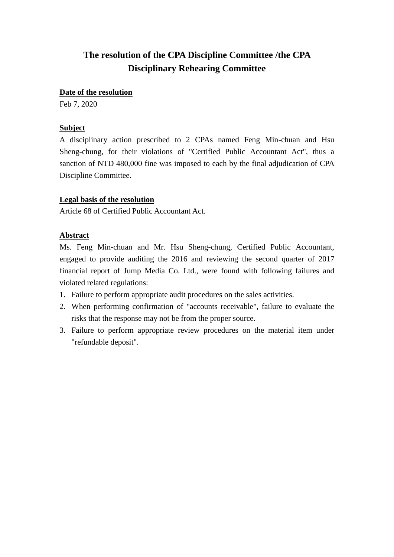#### **Date of the resolution**

Feb 7, 2020

#### **Subject**

A disciplinary action prescribed to 2 CPAs named Feng Min-chuan and Hsu Sheng-chung, for their violations of "Certified Public Accountant Act", thus a sanction of NTD 480,000 fine was imposed to each by the final adjudication of CPA Discipline Committee.

#### **Legal basis of the resolution**

Article 68 of Certified Public Accountant Act.

## **Abstract**

Ms. Feng Min-chuan and Mr. Hsu Sheng-chung, Certified Public Accountant, engaged to provide auditing the 2016 and reviewing the second quarter of 2017 financial report of Jump Media Co. Ltd., were found with following failures and violated related regulations:

- 1. Failure to perform appropriate audit procedures on the sales activities.
- 2. When performing confirmation of "accounts receivable", failure to evaluate the risks that the response may not be from the proper source.
- 3. Failure to perform appropriate review procedures on the material item under "refundable deposit".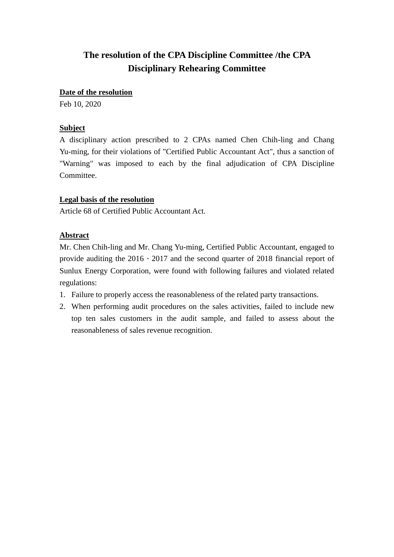#### **Date of the resolution**

Feb 10, 2020

## **Subject**

A disciplinary action prescribed to 2 CPAs named Chen Chih-ling and Chang Yu-ming, for their violations of "Certified Public Accountant Act", thus a sanction of "Warning" was imposed to each by the final adjudication of CPA Discipline Committee.

## **Legal basis of the resolution**

Article 68 of Certified Public Accountant Act.

## **Abstract**

Mr. Chen Chih-ling and Mr. Chang Yu-ming, Certified Public Accountant, engaged to provide auditing the 2016、2017 and the second quarter of 2018 financial report of Sunlux Energy Corporation, were found with following failures and violated related regulations:

- 1. Failure to properly access the reasonableness of the related party transactions.
- 2. When performing audit procedures on the sales activities, failed to include new top ten sales customers in the audit sample, and failed to assess about the reasonableness of sales revenue recognition.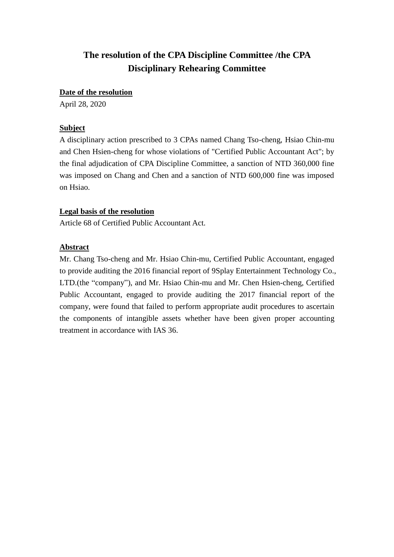#### **Date of the resolution**

April 28, 2020

#### **Subject**

A disciplinary action prescribed to 3 CPAs named Chang Tso-cheng, Hsiao Chin-mu and Chen Hsien-cheng for whose violations of "Certified Public Accountant Act"; by the final adjudication of CPA Discipline Committee, a sanction of NTD 360,000 fine was imposed on Chang and Chen and a sanction of NTD 600,000 fine was imposed on Hsiao.

#### **Legal basis of the resolution**

Article 68 of Certified Public Accountant Act.

#### **Abstract**

Mr. Chang Tso-cheng and Mr. Hsiao Chin-mu, Certified Public Accountant, engaged to provide auditing the 2016 financial report of 9Splay Entertainment Technology Co., LTD.(the "company"), and Mr. Hsiao Chin-mu and Mr. Chen Hsien-cheng, Certified Public Accountant, engaged to provide auditing the 2017 financial report of the company, were found that failed to perform appropriate audit procedures to ascertain the components of intangible assets whether have been given proper accounting treatment in accordance with IAS 36.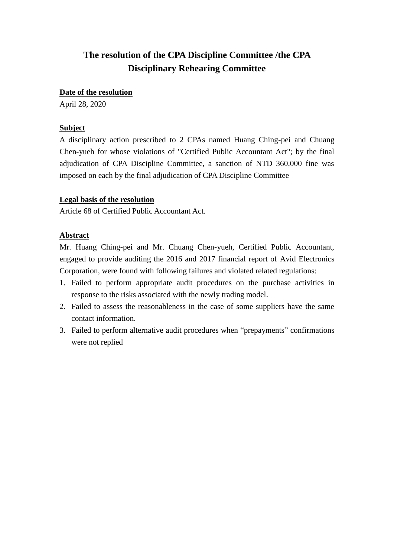#### **Date of the resolution**

April 28, 2020

## **Subject**

A disciplinary action prescribed to 2 CPAs named Huang Ching-pei and Chuang Chen-yueh for whose violations of "Certified Public Accountant Act"; by the final adjudication of CPA Discipline Committee, a sanction of NTD 360,000 fine was imposed on each by the final adjudication of CPA Discipline Committee

#### **Legal basis of the resolution**

Article 68 of Certified Public Accountant Act.

## **Abstract**

Mr. Huang Ching-pei and Mr. Chuang Chen-yueh, Certified Public Accountant, engaged to provide auditing the 2016 and 2017 financial report of Avid Electronics Corporation, were found with following failures and violated related regulations:

- 1. Failed to perform appropriate audit procedures on the purchase activities in response to the risks associated with the newly trading model.
- 2. Failed to assess the reasonableness in the case of some suppliers have the same contact information.
- 3. Failed to perform alternative audit procedures when "prepayments" confirmations were not replied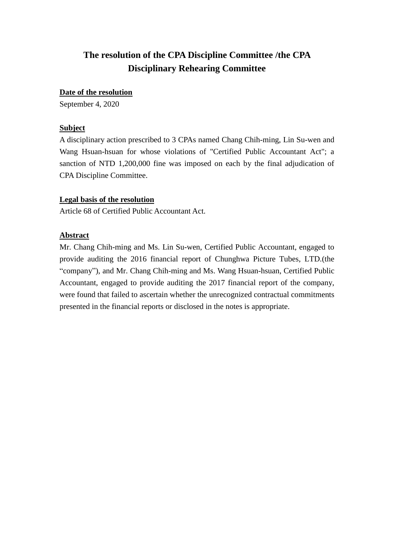#### **Date of the resolution**

September 4, 2020

## **Subject**

A disciplinary action prescribed to 3 CPAs named Chang Chih-ming, Lin Su-wen and Wang Hsuan-hsuan for whose violations of "Certified Public Accountant Act"; a sanction of NTD 1,200,000 fine was imposed on each by the final adjudication of CPA Discipline Committee.

## **Legal basis of the resolution**

Article 68 of Certified Public Accountant Act.

## **Abstract**

Mr. Chang Chih-ming and Ms. Lin Su-wen, Certified Public Accountant, engaged to provide auditing the 2016 financial report of Chunghwa Picture Tubes, LTD.(the "company"), and Mr. Chang Chih-ming and Ms. Wang Hsuan-hsuan, Certified Public Accountant, engaged to provide auditing the 2017 financial report of the company, were found that failed to ascertain whether the unrecognized contractual commitments presented in the financial reports or disclosed in the notes is appropriate.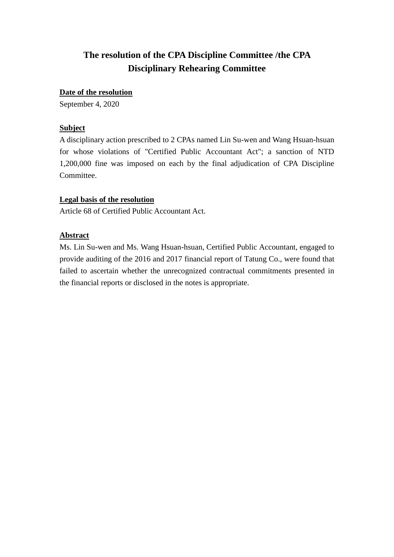#### **Date of the resolution**

September 4, 2020

## **Subject**

A disciplinary action prescribed to 2 CPAs named Lin Su-wen and Wang Hsuan-hsuan for whose violations of "Certified Public Accountant Act"; a sanction of NTD 1,200,000 fine was imposed on each by the final adjudication of CPA Discipline Committee.

## **Legal basis of the resolution**

Article 68 of Certified Public Accountant Act.

## **Abstract**

Ms. Lin Su-wen and Ms. Wang Hsuan-hsuan, Certified Public Accountant, engaged to provide auditing of the 2016 and 2017 financial report of Tatung Co., were found that failed to ascertain whether the unrecognized contractual commitments presented in the financial reports or disclosed in the notes is appropriate.